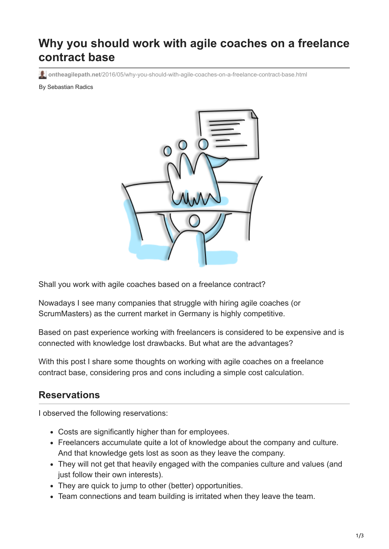## **Why you should work with agile coaches on a freelance contract base**

**ontheagilepath.net**[/2016/05/why-you-should-with-agile-coaches-on-a-freelance-contract-base.html](https://www.ontheagilepath.net/2016/05/why-you-should-with-agile-coaches-on-a-freelance-contract-base.html)

By Sebastian Radics



Shall you work with agile coaches based on a freelance contract?

Nowadays I see many companies that struggle with hiring agile coaches (or ScrumMasters) as the current market in Germany is highly competitive.

Based on past experience working with freelancers is considered to be expensive and is connected with knowledge lost drawbacks. But what are the advantages?

With this post I share some thoughts on working with agile coaches on a freelance contract base, considering pros and cons including a simple cost calculation.

## **Reservations**

I observed the following reservations:

- Costs are significantly higher than for employees.
- Freelancers accumulate quite a lot of knowledge about the company and culture. And that knowledge gets lost as soon as they leave the company.
- They will not get that heavily engaged with the companies culture and values (and just follow their own interests).
- They are quick to jump to other (better) opportunities.
- Team connections and team building is irritated when they leave the team.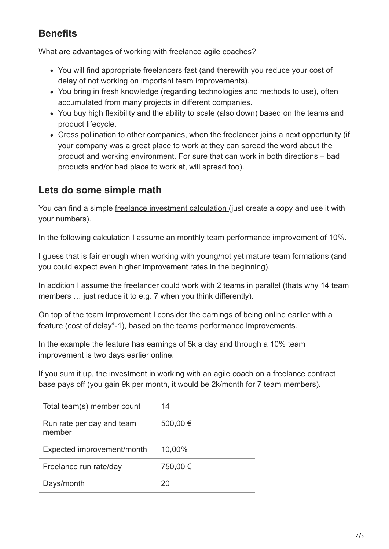## **Benefits**

What are advantages of working with freelance agile coaches?

- You will find appropriate freelancers fast (and therewith you reduce your cost of delay of not working on important team improvements).
- You bring in fresh knowledge (regarding technologies and methods to use), often accumulated from many projects in different companies.
- You buy high flexibility and the ability to scale (also down) based on the teams and product lifecycle.
- Cross pollination to other companies, when the freelancer joins a next opportunity (if your company was a great place to work at they can spread the word about the product and working environment. For sure that can work in both directions – bad products and/or bad place to work at, will spread too).

## **Lets do some simple math**

You can find a simple [freelance investment calculation](https://docs.google.com/spreadsheets/d/1KGDU1IiBcbfimkYuywPXdPybnsmQBN_jOLq0_5BgrRA/edit?usp=sharing) (just create a copy and use it with your numbers).

In the following calculation I assume an monthly team performance improvement of 10%.

I guess that is fair enough when working with young/not yet mature team formations (and you could expect even higher improvement rates in the beginning).

In addition I assume the freelancer could work with 2 teams in parallel (thats why 14 team members ... just reduce it to e.g. 7 when you think differently).

On top of the team improvement I consider the earnings of being online earlier with a feature (cost of delay\*-1), based on the teams performance improvements.

In the example the feature has earnings of 5k a day and through a 10% team improvement is two days earlier online.

If you sum it up, the investment in working with an agile coach on a freelance contract base pays off (you gain 9k per month, it would be 2k/month for 7 team members).

| Total team(s) member count          | 14       |  |
|-------------------------------------|----------|--|
| Run rate per day and team<br>member | 500,00 € |  |
| Expected improvement/month          | 10,00%   |  |
| Freelance run rate/day              | 750,00 € |  |
| Days/month                          | 20       |  |
|                                     |          |  |